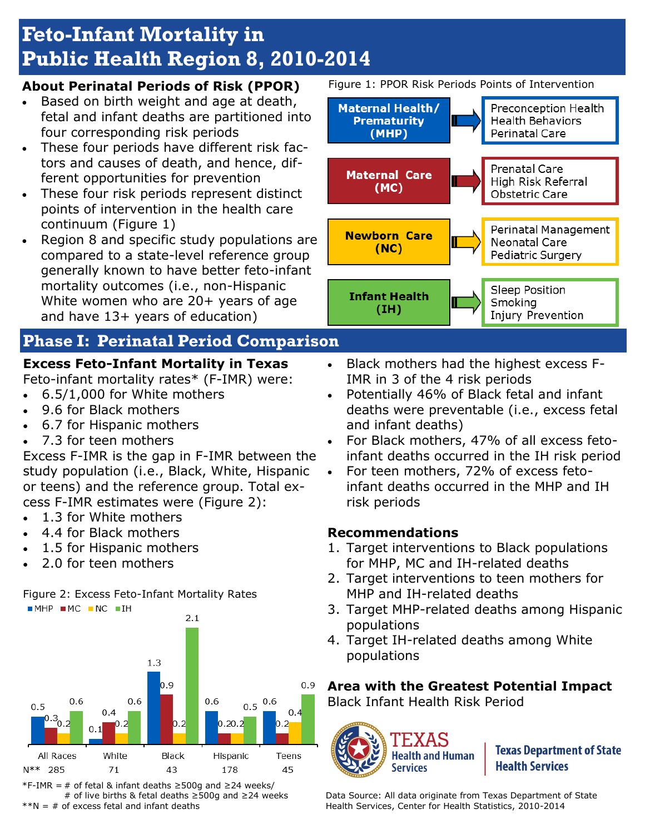# **Feto-Infant Mortality in Public Health Region 8, 2010-2014**

#### **About Perinatal Periods of Risk (PPOR)**

- Based on birth weight and age at death, fetal and infant deaths are partitioned into four corresponding risk periods
- These four periods have different risk factors and causes of death, and hence, different opportunities for prevention
- These four risk periods represent distinct points of intervention in the health care continuum (Figure 1)
- Region 8 and specific study populations are compared to a state-level reference group generally known to have better feto-infant mortality outcomes (i.e., non-Hispanic White women who are 20+ years of age and have 13+ years of education)

# **Phase I: Perinatal Period Comparison**

# **Excess Feto-Infant Mortality in Texas**

Feto-infant mortality rates\* (F-IMR) were:

- 6.5/1,000 for White mothers
- 9.6 for Black mothers
- 6.7 for Hispanic mothers
- 7.3 for teen mothers

Excess F-IMR is the gap in F-IMR between the study population (i.e., Black, White, Hispanic or teens) and the reference group. Total excess F-IMR estimates were (Figure 2):

- 1.3 for White mothers
- 4.4 for Black mothers
- 1.5 for Hispanic mothers
- 2.0 for teen mothers

Figure 2: Excess Feto-Infant Mortality Rates



\*F-IMR = # of fetal & infant deaths ≥500g and ≥24 weeks/ # of live births & fetal deaths ≥500g and ≥24 weeks  $*N = #$  of excess fetal and infant deaths

Figure 1: PPOR Risk Periods Points of Intervention



- Black mothers had the highest excess F-IMR in 3 of the 4 risk periods
- Potentially 46% of Black fetal and infant deaths were preventable (i.e., excess fetal and infant deaths)
- For Black mothers, 47% of all excess fetoinfant deaths occurred in the IH risk period
- For teen mothers, 72% of excess fetoinfant deaths occurred in the MHP and IH risk periods

#### **Recommendations**

- 1. Target interventions to Black populations for MHP, MC and IH-related deaths
- 2. Target interventions to teen mothers for MHP and IH-related deaths
- 3. Target MHP-related deaths among Hispanic populations
- 4. Target IH-related deaths among White populations

**Area with the Greatest Potential Impact**  Black Infant Health Risk Period



**Texas Department of State Health Services** 

Data Source: All data originate from Texas Department of State Health Services, Center for Health Statistics, 2010-2014